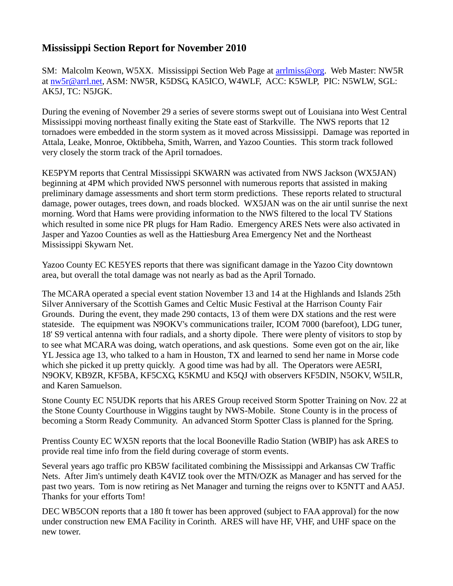## **Mississippi Section Report for November 2010**

SM: Malcolm Keown, W5XX. Mississippi Section Web Page at [arrlmiss@org.](mailto:arrlmiss@org) Web Master: NW5R at [nw5r@arrl.net,](mailto:nw5r@arrl.net) ASM: NW5R, K5DSG, KA5ICO, W4WLF, ACC: K5WLP, PIC: N5WLW, SGL: AK5J, TC: N5JGK.

During the evening of November 29 a series of severe storms swept out of Louisiana into West Central Mississippi moving northeast finally exiting the State east of Starkville. The NWS reports that 12 tornadoes were embedded in the storm system as it moved across Mississippi. Damage was reported in Attala, Leake, Monroe, Oktibbeha, Smith, Warren, and Yazoo Counties. This storm track followed very closely the storm track of the April tornadoes.

KE5PYM reports that Central Mississippi SKWARN was activated from NWS Jackson (WX5JAN) beginning at 4PM which provided NWS personnel with numerous reports that assisted in making preliminary damage assessments and short term storm predictions. These reports related to structural damage, power outages, trees down, and roads blocked. WX5JAN was on the air until sunrise the next morning. Word that Hams were providing information to the NWS filtered to the local TV Stations which resulted in some nice PR plugs for Ham Radio. Emergency ARES Nets were also activated in Jasper and Yazoo Counties as well as the Hattiesburg Area Emergency Net and the Northeast Mississippi Skywarn Net.

Yazoo County EC KE5YES reports that there was significant damage in the Yazoo City downtown area, but overall the total damage was not nearly as bad as the April Tornado.

The MCARA operated a special event station November 13 and 14 at the Highlands and Islands 25th Silver Anniversary of the Scottish Games and Celtic Music Festival at the Harrison County Fair Grounds. During the event, they made 290 contacts, 13 of them were DX stations and the rest were stateside. The equipment was N9OKV's communications trailer, ICOM 7000 (barefoot), LDG tuner, 18' S9 vertical antenna with four radials, and a shorty dipole. There were plenty of visitors to stop by to see what MCARA was doing, watch operations, and ask questions. Some even got on the air, like YL Jessica age 13, who talked to a ham in Houston, TX and learned to send her name in Morse code which she picked it up pretty quickly. A good time was had by all. The Operators were AE5RI, N9OKV, KB9ZR, KF5BA, KF5CXG, K5KMU and K5QJ with observers KF5DIN, N5OKV, W5ILR, and Karen Samuelson.

Stone County EC N5UDK reports that his ARES Group received Storm Spotter Training on Nov. 22 at the Stone County Courthouse in Wiggins taught by NWS-Mobile. Stone County is in the process of becoming a Storm Ready Community. An advanced Storm Spotter Class is planned for the Spring.

Prentiss County EC WX5N reports that the local Booneville Radio Station (WBIP) has ask ARES to provide real time info from the field during coverage of storm events.

Several years ago traffic pro KB5W facilitated combining the Mississippi and Arkansas CW Traffic Nets. After Jim's untimely death K4VIZ took over the MTN/OZK as Manager and has served for the past two years. Tom is now retiring as Net Manager and turning the reigns over to K5NTT and AA5J. Thanks for your efforts Tom!

DEC WB5CON reports that a 180 ft tower has been approved (subject to FAA approval) for the now under construction new EMA Facility in Corinth. ARES will have HF, VHF, and UHF space on the new tower.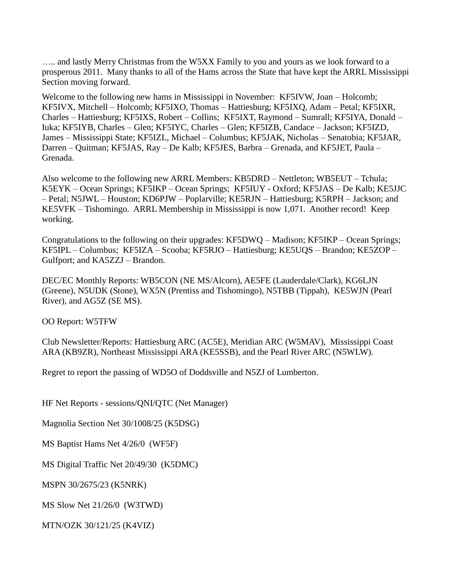….. and lastly Merry Christmas from the W5XX Family to you and yours as we look forward to a prosperous 2011. Many thanks to all of the Hams across the State that have kept the ARRL Mississippi Section moving forward.

Welcome to the following new hams in Mississippi in November: KF5IVW, Joan – Holcomb; KF5IVX, Mitchell – Holcomb; KF5IXO, Thomas – Hattiesburg; KF5IXQ, Adam – Petal; KF5IXR, Charles – Hattiesburg; KF5IXS, Robert – Collins; KF5IXT, Raymond – Sumrall; KF5IYA, Donald – Iuka; KF5IYB, Charles – Glen; KF5IYC, Charles – Glen; KF5IZB, Candace – Jackson; KF5IZD, James – Mississippi State; KF5IZL, Michael – Columbus; KF5JAK, Nicholas – Senatobia; KF5JAR, Darren – Quitman; KF5JAS, Ray – De Kalb; KF5JES, Barbra – Grenada, and KF5JET, Paula – Grenada.

Also welcome to the following new ARRL Members: KB5DRD – Nettleton; WB5EUT – Tchula; K5EYK – Ocean Springs; KF5IKP – Ocean Springs; KF5IUY - Oxford; KF5JAS – De Kalb; KE5JJC – Petal; N5JWL – Houston; KD6PJW – Poplarville; KE5RJN – Hattiesburg; K5RPH – Jackson; and KE5VFK – Tishomingo. ARRL Membership in Mississippi is now 1,071. Another record! Keep working.

Congratulations to the following on their upgrades: KF5DWQ – Madison; KF5IKP – Ocean Springs; KF5IPL – Columbus; KF5IZA – Scooba; KF5RJO – Hattiesburg; KE5UQS – Brandon; KE5ZOP – Gulfport; and KA5ZZJ – Brandon.

DEC/EC Monthly Reports: WB5CON (NE MS/Alcorn), AE5FE (Lauderdale/Clark), KG6LJN (Greene), N5UDK (Stone), WX5N (Prentiss and Tishomingo), N5TBB (Tippah), KE5WJN (Pearl River), and AG5Z (SE MS).

OO Report: W5TFW

Club Newsletter/Reports: Hattiesburg ARC (AC5E), Meridian ARC (W5MAV), Mississippi Coast ARA (KB9ZR), Northeast Mississippi ARA (KE5SSB), and the Pearl River ARC (N5WLW).

Regret to report the passing of WD5O of Doddsville and N5ZJ of Lumberton.

HF Net Reports - sessions/QNI/QTC (Net Manager)

Magnolia Section Net 30/1008/25 (K5DSG)

MS Baptist Hams Net 4/26/0 (WF5F)

MS Digital Traffic Net 20/49/30 (K5DMC)

MSPN 30/2675/23 (K5NRK)

MS Slow Net 21/26/0 (W3TWD)

MTN/OZK 30/121/25 (K4VIZ)